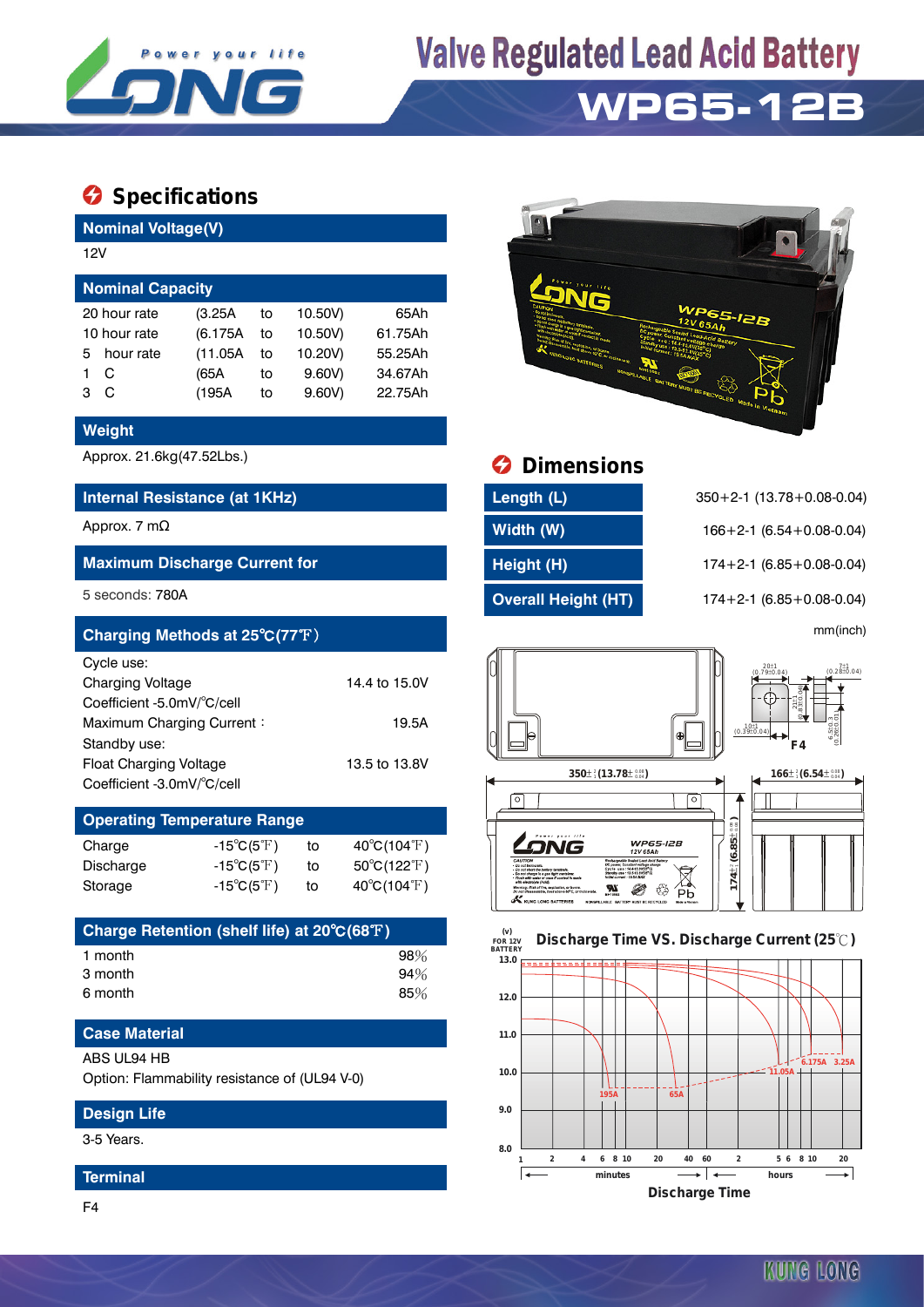

# **Valve Regulated Lead Acid Battery**

## **WP65-12B**

### $\bullet$  Specifications

**Nominal Voltage(V)**

| 12V                                              |           |          |    |         |         |  |  |  |  |
|--------------------------------------------------|-----------|----------|----|---------|---------|--|--|--|--|
| <b>Nominal Capacity</b>                          |           |          |    |         |         |  |  |  |  |
| 10.50V)<br>20 hour rate<br>65Ah<br>(3.25A)<br>to |           |          |    |         |         |  |  |  |  |
| 10 hour rate                                     |           | (6.175A) | to | 10.50V) | 61.75Ah |  |  |  |  |
| 5.                                               | hour rate | (11.05A) | to | 10.20V) | 55.25Ah |  |  |  |  |
|                                                  | C         | (65A     | to | 9.60V   | 34.67Ah |  |  |  |  |
| з                                                | C         | (195A    | to | 9.60V   | 22.75Ah |  |  |  |  |
|                                                  |           |          |    |         |         |  |  |  |  |

#### **Weight**

#### **Internal Resistance (at 1KHz) Length (L)** 350+2-1 (13.78+0.08-0.04)

#### **Maximum Discharge Current for Height (H)** 174+2-1 (6.85+0.08-0.04)

| Charging Methods at 25°C(77°F) |               |                                                     |                                                             | mm(inch)                |
|--------------------------------|---------------|-----------------------------------------------------|-------------------------------------------------------------|-------------------------|
| Cycle use:                     |               |                                                     | $20±1$<br>(0.79±0.04)                                       | $7.1$ (0.28 $\pm$ 0.04) |
| <b>Charging Voltage</b>        | 14.4 to 15.0V |                                                     |                                                             |                         |
| Coefficient -5.0mV/°C/cell     |               |                                                     | $211$<br>$6310$                                             |                         |
| Maximum Charging Current:      | 19.5A         |                                                     | $\begin{bmatrix} 10 \pm 1 \\ (0.39 \pm 0.04) \end{bmatrix}$ |                         |
| Standby use:                   |               |                                                     | F4                                                          | $6.5 + 0.040$           |
| <b>Float Charging Voltage</b>  | 13.5 to 13.8V |                                                     |                                                             |                         |
| Coefficient -3.0mV/°C/cell     |               | $350\pm\frac{2}{3}$ (13.78 $\pm\frac{0.08}{0.04}$ ) | $166\pm\frac{2}{3}(6.54\pm\frac{0.08}{0.04})$               |                         |

### **Operating Temperature Range**

| Charge    | $-15^{\circ}C(5^{\circ}F)$ | to | $40^{\circ}$ C(104 $^{\circ}$ F)      |
|-----------|----------------------------|----|---------------------------------------|
| Discharge | $-15^{\circ}C(5^{\circ}F)$ | to | $50^{\circ}$ C(122 $\rm \mathbb{F}$ ) |
| Storage   | $-15^{\circ}C(5^{\circ}F)$ | to | $40^{\circ}$ C(104 $^{\circ}$ F)      |

| Charge Retention (shelf life) at 20°C(68°F) |     |
|---------------------------------------------|-----|
| 1 month                                     | 98% |
| 3 month                                     | 94% |
| 6 month                                     | 85% |

#### **Case Material**

#### ABS UL94 HB

Option: Flammability resistance of (UL94 V-0)

#### **Design Life**

3-5 Years.

#### **Terminal**



## Approx. 21.6kg(47.52Lbs.) **Dimensions**

| Length (L)                 |
|----------------------------|
| Width (W)                  |
| Height (H)                 |
| <b>Overall Height (HT)</b> |

**8.0**

Approx. 7 mΩ **Width (W)** 166+2-1 (6.54+0.08-0.04) 5 seconds: 780A **Overall Height (HT)** 174+2-1 (6.85+0.08-0.04)



#### **9.0 10.0 11.0 12.0 13.0 FOR 12V BATTERY Discharge Time VS. Discharge Current (25 ℃) 65A 11.05A 6.175A 3.25A 195A**



**1 2 4 6 8 10 20 40 60 2 5 6 8 10 20**

⊸ !